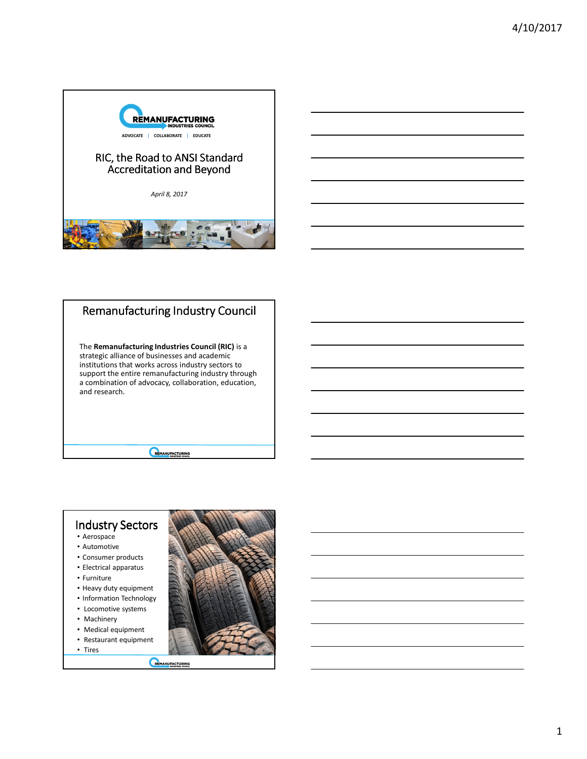



# Remanufacturing Industry Council The **Remanufacturing Industries Council (RIC)** is a

strategic alliance of businesses and academic institutions that works across industry sectors to support the entire remanufacturing industry through a combination of advocacy, collaboration, education, and research.

REMANUFACTURING



- Aerospace
- Automotive • Consumer products
- Electrical apparatus
- Furniture
- 
- Heavy duty equipment • Information Technology
- Locomotive systems
- Machinery
- Medical equipment
- Restaurant equipment
- Tires

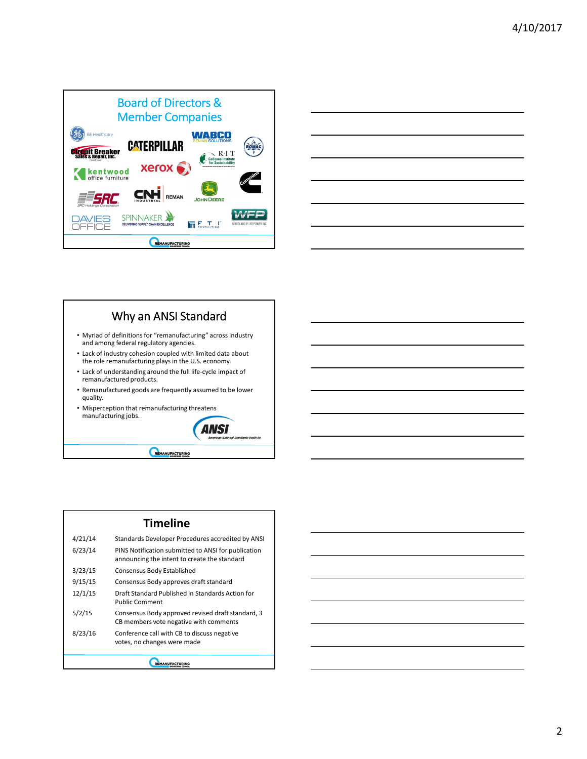



#### Why an ANSI Standard • Myriad of definitions for "remanufacturing" across industry and among federal regulatory agencies. • Lack of industry cohesion coupled with limited data about the role remanufacturing plays in the U.S. economy. • Lack of understanding around the full life-cycle impact of remanufactured products. • Remanufactured goods are frequently assumed to be lower quality. • Misperception that remanufacturing threatens



REMANUEACTURING

### **Timeline** 4/21/14 Standards Developer Procedures accredited by ANSI

|  | 41 L L 14 | italiualus Developei TToceuules accieulleu by Alvul                                                 |  |
|--|-----------|-----------------------------------------------------------------------------------------------------|--|
|  | 6/23/14   | PINS Notification submitted to ANSI for publication<br>announcing the intent to create the standard |  |
|  | 3/23/15   | Consensus Body Established                                                                          |  |
|  | 9/15/15   | Consensus Body approves draft standard                                                              |  |
|  | 12/1/15   | Draft Standard Published in Standards Action for<br><b>Public Comment</b>                           |  |
|  | 5/2/15    | Consensus Body approved revised draft standard, 3<br>CB members vote negative with comments         |  |
|  | 8/23/16   | Conference call with CB to discuss negative<br>votes, no changes were made                          |  |
|  |           |                                                                                                     |  |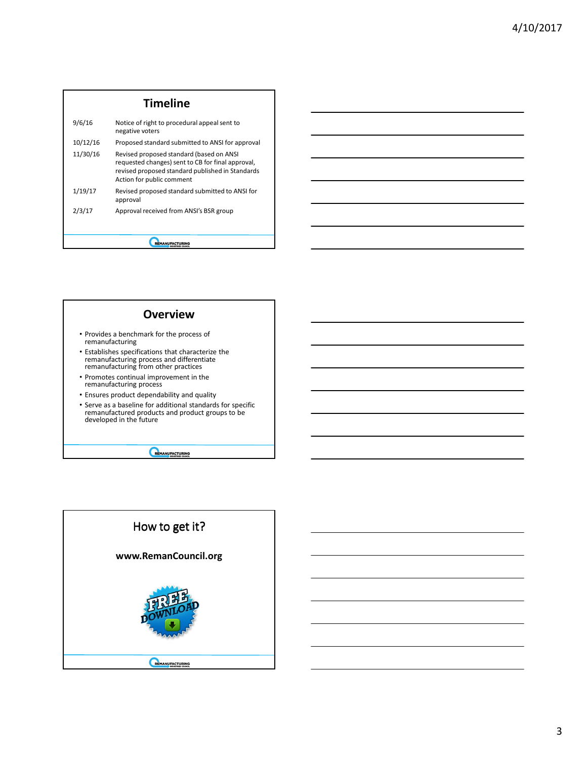|          | <b>Timeline</b>                                                                                                                                                                |
|----------|--------------------------------------------------------------------------------------------------------------------------------------------------------------------------------|
| 9/6/16   | Notice of right to procedural appeal sent to<br>negative voters                                                                                                                |
| 10/12/16 | Proposed standard submitted to ANSI for approval                                                                                                                               |
| 11/30/16 | Revised proposed standard (based on ANSI<br>requested changes) sent to CB for final approval,<br>revised proposed standard published in Standards<br>Action for public comment |
| 1/19/17  | Revised proposed standard submitted to ANSI for<br>approval                                                                                                                    |
| 2/3/17   | Approval received from ANSI's BSR group                                                                                                                                        |
|          |                                                                                                                                                                                |
|          |                                                                                                                                                                                |



- Provides a benchmark for the process of remanufacturing
- Establishes specifications that characterize the remanufacturing process and differentiate remanufacturing from other practices
- Promotes continual improvement in the remanufacturing process
- Ensures product dependability and quality
- Serve as a baseline for additional standards for specific remanufactured products and product groups to be developed in the future

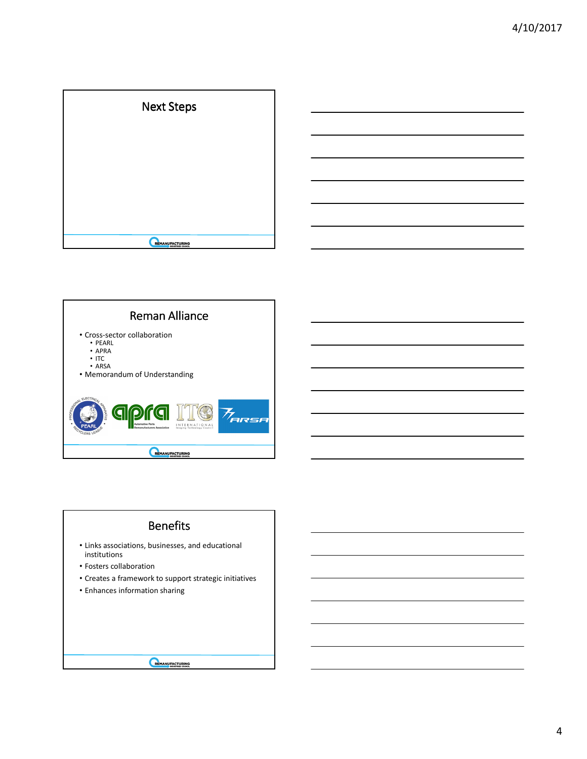





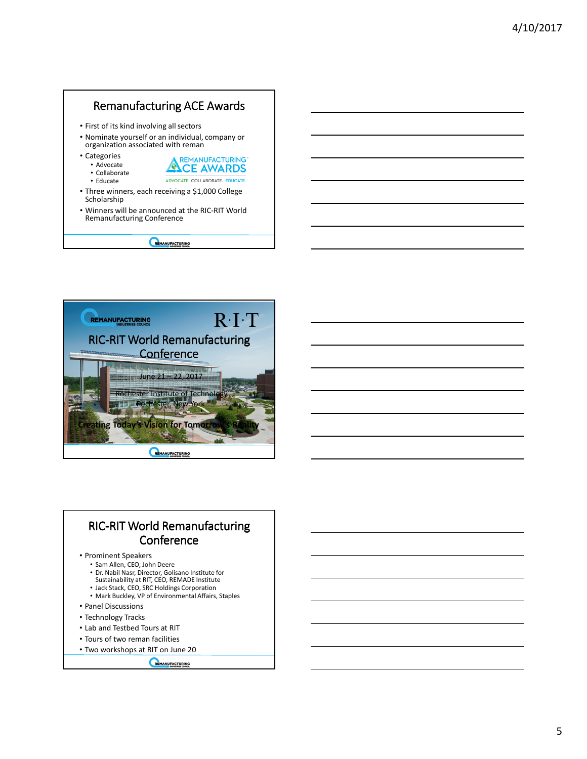#### Remanufacturing ACE Awards • First of its kind involving all sectors • Nominate yourself or an individual, company or organization associated with reman • Categories **REMANUFACTURING** • Advocate **ALCE AWARDS** • Collaborate ADVOCATE. COLLABORATE. EDUCATE. • Educate • Three winners, each receiving a \$1,000 College Scholarship • Winners will be announced at the RIC-RIT World Remanufacturing Conference REMANUFACTURING



## RIC-RIT World Remanufacturing Conference

#### • Prominent Speakers

- Sam Allen, CEO, John Deere
- Dr. Nabil Nasr, Director, Golisano Institute for Sustainability at RIT, CEO, REMADE Institute
- 
- Jack Stack, CEO, SRC Holdings Corporation
- Mark Buckley, VP of Environmental Affairs, Staples
- Panel Discussions
- Technology Tracks
- Lab and Testbed Tours at RIT
- Tours of two reman facilities
- Two workshops at RIT on June 20